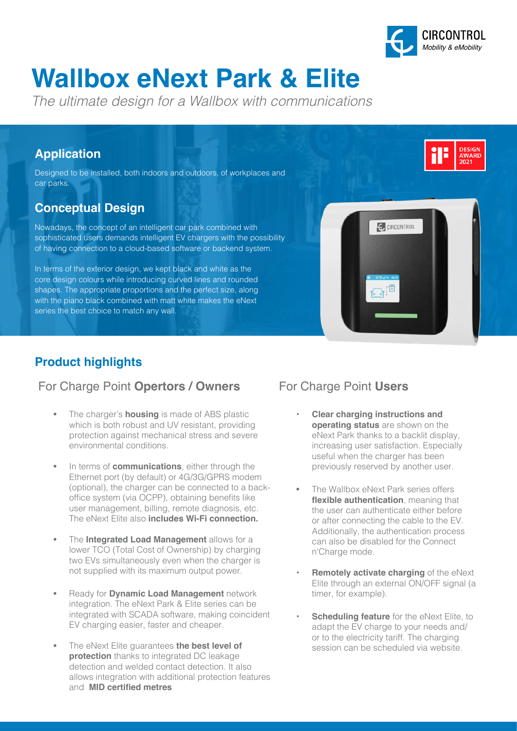

# **Wallbox eNext Park & Elite**

*The ultimate design for a Wallbox with communications*

#### **Application**

Designed to be installed, both indoors and outdoors, of workplaces and car parks.

# **Conceptual Design**

Nowadays, the concept of an intelligent car park combined with sophisticated users demands intelligent EV chargers with the possibility of having connection to a cloud-based software or backend system.

In terms of the exterior design, we kept black and white as the core design colours while introducing curved lines and rounded shapes. The appropriate proportions and the perfect size, along with the piano black combined with matt white makes the eNext series the best choice to match any wall.



# **Product highlights**

#### For Charge Point **Opertors / Owners** For Charge Point **Users**

- The charger's **housing** is made of ABS plastic which is both robust and UV resistant, providing protection against mechanical stress and severe environmental conditions.
- In terms of **communications**, either through the Ethernet port (by default) or 4G/3G/GPRS modem (optional), the charger can be connected to a backoffice system (via OCPP), obtaining benefits like user management, billing, remote diagnosis, etc. The eNext Elite also **includes Wi-Fi connection.**
- The **Integrated Load Management** allows for a lower TCO (Total Cost of Ownership) by charging two EVs simultaneously even when the charger is not supplied with its maximum output power.
- Ready for **Dynamic Load Management** network integration. The eNext Park & Elite series can be integrated with SCADA software, making coincident EV charging easier, faster and cheaper.
- The eNext Elite guarantees **the best level of protection** thanks to integrated DC leakage detection and welded contact detection. It also allows integration with additional protection features and **MID certified metres**

- **• Clear charging instructions and operating status** are shown on the eNext Park thanks to a backlit display, increasing user satisfaction. Especially useful when the charger has been previously reserved by another user.
- The Wallbox eNext Park series offers **flexible authentication**, meaning that the user can authenticate either before or after connecting the cable to the EV. Additionally, the authentication process can also be disabled for the Connect n'Charge mode.
- **• Remotely activate charging** of the eNext Elite through an external ON/OFF signal (a timer, for example).
- **Scheduling feature** for the eNext Elite, to adapt the EV charge to your needs and/ or to the electricity tariff. The charging session can be scheduled via website.